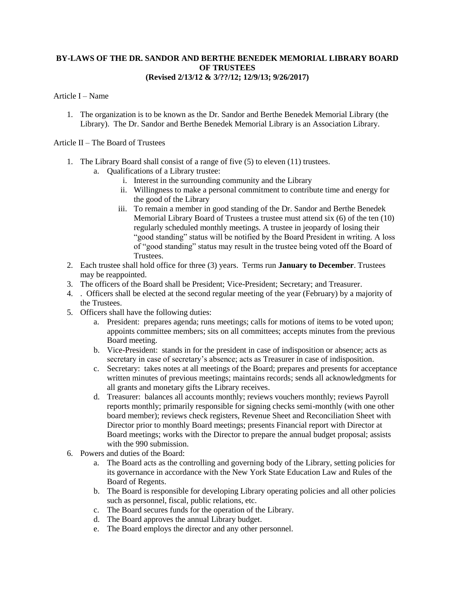### **BY-LAWS OF THE DR. SANDOR AND BERTHE BENEDEK MEMORIAL LIBRARY BOARD OF TRUSTEES (Revised 2/13/12 & 3/??/12; 12/9/13; 9/26/2017)**

#### Article I – Name

1. The organization is to be known as the Dr. Sandor and Berthe Benedek Memorial Library (the Library). The Dr. Sandor and Berthe Benedek Memorial Library is an Association Library.

Article II – The Board of Trustees

- 1. The Library Board shall consist of a range of five (5) to eleven (11) trustees.
	- a. Qualifications of a Library trustee:
		- i. Interest in the surrounding community and the Library
		- ii. Willingness to make a personal commitment to contribute time and energy for the good of the Library
		- iii. To remain a member in good standing of the Dr. Sandor and Berthe Benedek Memorial Library Board of Trustees a trustee must attend six (6) of the ten (10) regularly scheduled monthly meetings. A trustee in jeopardy of losing their "good standing" status will be notified by the Board President in writing. A loss of "good standing" status may result in the trustee being voted off the Board of Trustees.
- 2. Each trustee shall hold office for three (3) years. Terms run **January to December**. Trustees may be reappointed.
- 3. The officers of the Board shall be President; Vice-President; Secretary; and Treasurer.
- 4. . Officers shall be elected at the second regular meeting of the year (February) by a majority of the Trustees.
- 5. Officers shall have the following duties:
	- a. President: prepares agenda; runs meetings; calls for motions of items to be voted upon; appoints committee members; sits on all committees; accepts minutes from the previous Board meeting.
	- b. Vice-President: stands in for the president in case of indisposition or absence; acts as secretary in case of secretary's absence; acts as Treasurer in case of indisposition.
	- c. Secretary: takes notes at all meetings of the Board; prepares and presents for acceptance written minutes of previous meetings; maintains records; sends all acknowledgments for all grants and monetary gifts the Library receives.
	- d. Treasurer: balances all accounts monthly; reviews vouchers monthly; reviews Payroll reports monthly; primarily responsible for signing checks semi-monthly (with one other board member); reviews check registers, Revenue Sheet and Reconciliation Sheet with Director prior to monthly Board meetings; presents Financial report with Director at Board meetings; works with the Director to prepare the annual budget proposal; assists with the 990 submission.
- 6. Powers and duties of the Board:
	- a. The Board acts as the controlling and governing body of the Library, setting policies for its governance in accordance with the New York State Education Law and Rules of the Board of Regents.
	- b. The Board is responsible for developing Library operating policies and all other policies such as personnel, fiscal, public relations, etc.
	- c. The Board secures funds for the operation of the Library.
	- d. The Board approves the annual Library budget.
	- e. The Board employs the director and any other personnel.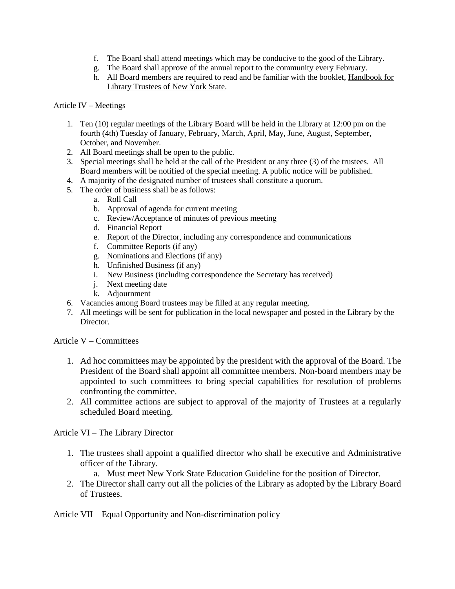- f. The Board shall attend meetings which may be conducive to the good of the Library.
- g. The Board shall approve of the annual report to the community every February.
- h. All Board members are required to read and be familiar with the booklet, Handbook for Library Trustees of New York State.

### Article IV – Meetings

- 1. Ten (10) regular meetings of the Library Board will be held in the Library at 12:00 pm on the fourth (4th) Tuesday of January, February, March, April, May, June, August, September, October, and November.
- 2. All Board meetings shall be open to the public.
- 3. Special meetings shall be held at the call of the President or any three (3) of the trustees. All Board members will be notified of the special meeting. A public notice will be published.
- 4. A majority of the designated number of trustees shall constitute a quorum.
- 5. The order of business shall be as follows:
	- a. Roll Call
	- b. Approval of agenda for current meeting
	- c. Review/Acceptance of minutes of previous meeting
	- d. Financial Report
	- e. Report of the Director, including any correspondence and communications
	- f. Committee Reports (if any)
	- g. Nominations and Elections (if any)
	- h. Unfinished Business (if any)
	- i. New Business (including correspondence the Secretary has received)
	- j. Next meeting date
	- k. Adjournment
- 6. Vacancies among Board trustees may be filled at any regular meeting.
- 7. All meetings will be sent for publication in the local newspaper and posted in the Library by the Director.

Article V – Committees

- 1. Ad hoc committees may be appointed by the president with the approval of the Board. The President of the Board shall appoint all committee members. Non-board members may be appointed to such committees to bring special capabilities for resolution of problems confronting the committee.
- 2. All committee actions are subject to approval of the majority of Trustees at a regularly scheduled Board meeting.

Article VI – The Library Director

- 1. The trustees shall appoint a qualified director who shall be executive and Administrative officer of the Library.
	- a. Must meet New York State Education Guideline for the position of Director.
- 2. The Director shall carry out all the policies of the Library as adopted by the Library Board of Trustees.

Article VII – Equal Opportunity and Non-discrimination policy